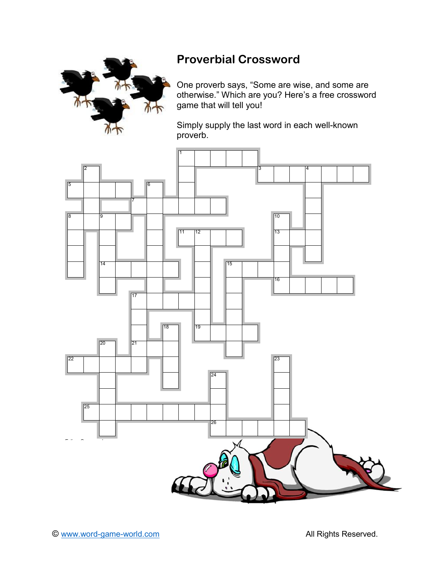

## **Proverbial Crossword**

One proverb says, "Some are wise, and some are otherwise." Which are you? Here's a free crossword game that will tell you!

Simply supply the last word in each well-known proverb.